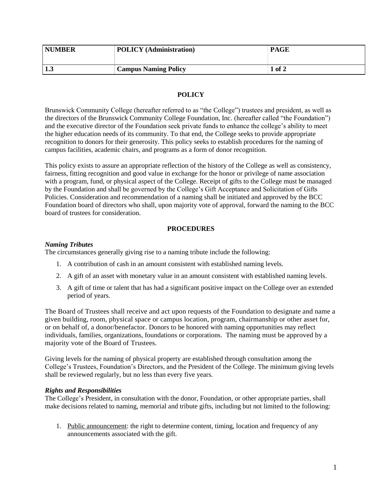| <b>NUMBER</b> | <b>POLICY</b> (Administration) | <b>PAGE</b> |
|---------------|--------------------------------|-------------|
| <b>100</b>    | <b>Campus Naming Policy</b>    | 1 of 2      |

# **POLICY**

Brunswick Community College (hereafter referred to as "the College") trustees and president, as well as the directors of the Brunswick Community College Foundation, Inc. (hereafter called "the Foundation") and the executive director of the Foundation seek private funds to enhance the college's ability to meet the higher education needs of its community. To that end, the College seeks to provide appropriate recognition to donors for their generosity. This policy seeks to establish procedures for the naming of campus facilities, academic chairs, and programs as a form of donor recognition.

This policy exists to assure an appropriate reflection of the history of the College as well as consistency, fairness, fitting recognition and good value in exchange for the honor or privilege of name association with a program, fund, or physical aspect of the College. Receipt of gifts to the College must be managed by the Foundation and shall be governed by the College's Gift Acceptance and Solicitation of Gifts Policies. Consideration and recommendation of a naming shall be initiated and approved by the BCC Foundation board of directors who shall, upon majority vote of approval, forward the naming to the BCC board of trustees for consideration.

### **PROCEDURES**

# *Naming Tributes*

The circumstances generally giving rise to a naming tribute include the following:

- 1. A contribution of cash in an amount consistent with established naming levels.
- 2. A gift of an asset with monetary value in an amount consistent with established naming levels.
- 3. A gift of time or talent that has had a significant positive impact on the College over an extended period of years.

The Board of Trustees shall receive and act upon requests of the Foundation to designate and name a given building, room, physical space or campus location, program, chairmanship or other asset for, or on behalf of, a donor/benefactor. Donors to be honored with naming opportunities may reflect individuals, families, organizations, foundations or corporations. The naming must be approved by a majority vote of the Board of Trustees.

Giving levels for the naming of physical property are established through consultation among the College's Trustees, Foundation's Directors, and the President of the College. The minimum giving levels shall be reviewed regularly, but no less than every five years.

### *Rights and Responsibilities*

The College's President, in consultation with the donor, Foundation, or other appropriate parties, shall make decisions related to naming, memorial and tribute gifts, including but not limited to the following:

1. Public announcement: the right to determine content, timing, location and frequency of any announcements associated with the gift.